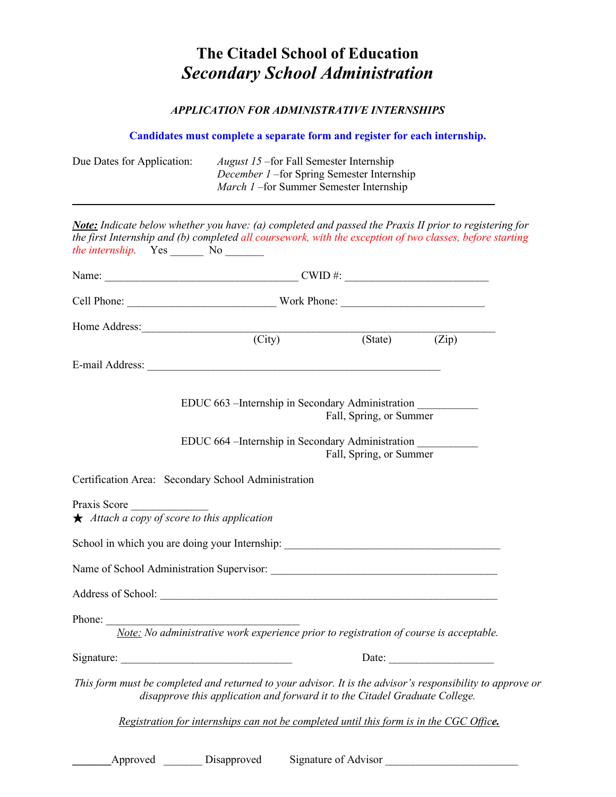## **The Citadel School of Education** *Secondary School Administration*

## *APPLICATION FOR ADMINISTRATIVE INTERNSHIPS*

|                                                                                                                                                                                                                                                                |                                                                                                                                        |                             | Candidates must complete a separate form and register for each internship.                                                                                   |                                                                                                                                                                                                                                                                                                                                                        |  |  |
|----------------------------------------------------------------------------------------------------------------------------------------------------------------------------------------------------------------------------------------------------------------|----------------------------------------------------------------------------------------------------------------------------------------|-----------------------------|--------------------------------------------------------------------------------------------------------------------------------------------------------------|--------------------------------------------------------------------------------------------------------------------------------------------------------------------------------------------------------------------------------------------------------------------------------------------------------------------------------------------------------|--|--|
| Due Dates for Application:                                                                                                                                                                                                                                     | <i>August 15</i> – for Fall Semester Internship<br>December 1-for Spring Semester Internship<br>March 1-for Summer Semester Internship |                             |                                                                                                                                                              |                                                                                                                                                                                                                                                                                                                                                        |  |  |
| <b>Note:</b> Indicate below whether you have: (a) completed and passed the Praxis II prior to registering for<br>the first Internship and (b) completed all coursework, with the exception of two classes, before starting<br><i>the internship.</i> Yes No No |                                                                                                                                        |                             |                                                                                                                                                              |                                                                                                                                                                                                                                                                                                                                                        |  |  |
|                                                                                                                                                                                                                                                                |                                                                                                                                        |                             |                                                                                                                                                              |                                                                                                                                                                                                                                                                                                                                                        |  |  |
|                                                                                                                                                                                                                                                                |                                                                                                                                        |                             |                                                                                                                                                              |                                                                                                                                                                                                                                                                                                                                                        |  |  |
| Home Address:                                                                                                                                                                                                                                                  |                                                                                                                                        |                             |                                                                                                                                                              |                                                                                                                                                                                                                                                                                                                                                        |  |  |
|                                                                                                                                                                                                                                                                |                                                                                                                                        | $\overline{\text{ (City)}}$ |                                                                                                                                                              | $\overline{\text{(State)}}$ $\qquad$ $\qquad$ $\qquad$ $\qquad$ $\qquad$ $\qquad$ $\qquad$ $\qquad$ $\qquad$ $\qquad$ $\qquad$ $\qquad$ $\qquad$ $\qquad$ $\qquad$ $\qquad$ $\qquad$ $\qquad$ $\qquad$ $\qquad$ $\qquad$ $\qquad$ $\qquad$ $\qquad$ $\qquad$ $\qquad$ $\qquad$ $\qquad$ $\qquad$ $\qquad$ $\qquad$ $\qquad$ $\qquad$ $\qquad$ $\qquad$ |  |  |
|                                                                                                                                                                                                                                                                |                                                                                                                                        |                             |                                                                                                                                                              |                                                                                                                                                                                                                                                                                                                                                        |  |  |
|                                                                                                                                                                                                                                                                |                                                                                                                                        |                             | EDUC 663 - Internship in Secondary Administration<br>Fall, Spring, or Summer<br>EDUC 664 - Internship in Secondary Administration<br>Fall, Spring, or Summer |                                                                                                                                                                                                                                                                                                                                                        |  |  |
| Certification Area: Secondary School Administration                                                                                                                                                                                                            |                                                                                                                                        |                             |                                                                                                                                                              |                                                                                                                                                                                                                                                                                                                                                        |  |  |
| Praxis Score<br>$\star$ Attach a copy of score to this application                                                                                                                                                                                             |                                                                                                                                        |                             |                                                                                                                                                              |                                                                                                                                                                                                                                                                                                                                                        |  |  |
| School in which you are doing your Internship: __________________________________                                                                                                                                                                              |                                                                                                                                        |                             |                                                                                                                                                              |                                                                                                                                                                                                                                                                                                                                                        |  |  |
|                                                                                                                                                                                                                                                                |                                                                                                                                        |                             |                                                                                                                                                              |                                                                                                                                                                                                                                                                                                                                                        |  |  |
| Address of School: The School School School School School School School School School School School School School School School School School School School School School School School School School School School School Sch                                 |                                                                                                                                        |                             |                                                                                                                                                              |                                                                                                                                                                                                                                                                                                                                                        |  |  |
| Phone: $\frac{1}{\sqrt{1-\frac{1}{2}}\cdot\frac{1}{\sqrt{1-\frac{1}{2}}}}$                                                                                                                                                                                     |                                                                                                                                        |                             |                                                                                                                                                              |                                                                                                                                                                                                                                                                                                                                                        |  |  |
| Note: No administrative work experience prior to registration of course is acceptable.                                                                                                                                                                         |                                                                                                                                        |                             |                                                                                                                                                              |                                                                                                                                                                                                                                                                                                                                                        |  |  |
|                                                                                                                                                                                                                                                                |                                                                                                                                        |                             |                                                                                                                                                              |                                                                                                                                                                                                                                                                                                                                                        |  |  |
| This form must be completed and returned to your advisor. It is the advisor's responsibility to approve or                                                                                                                                                     |                                                                                                                                        |                             | disapprove this application and forward it to the Citadel Graduate College.                                                                                  |                                                                                                                                                                                                                                                                                                                                                        |  |  |
|                                                                                                                                                                                                                                                                |                                                                                                                                        |                             |                                                                                                                                                              | Registration for internships can not be completed until this form is in the CGC Office.                                                                                                                                                                                                                                                                |  |  |
| Approved                                                                                                                                                                                                                                                       | Disapproved                                                                                                                            |                             | Signature of Advisor                                                                                                                                         |                                                                                                                                                                                                                                                                                                                                                        |  |  |